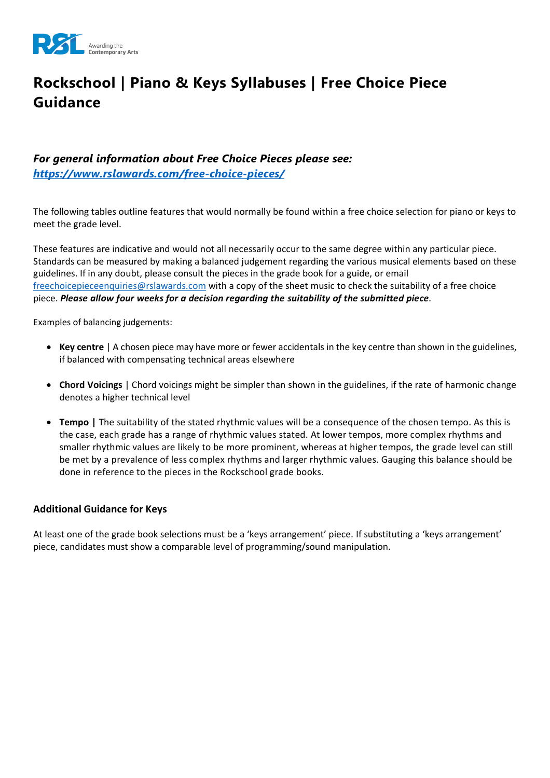

# **Rockschool | Piano & Keys Syllabuses | Free Choice Piece Guidance**

#### *For general information about Free Choice Pieces please see: <https://www.rslawards.com/free-choice-pieces/>*

The following tables outline features that would normally be found within a free choice selection for piano or keys to meet the grade level.

These features are indicative and would not all necessarily occur to the same degree within any particular piece. Standards can be measured by making a balanced judgement regarding the various musical elements based on these guidelines. If in any doubt, please consult the pieces in the grade book for a guide, or email [freechoicepieceenquiries@rslawards.com](mailto:freechoicepieceenquiries@rslawards.com) with a copy of the sheet music to check the suitability of a free choice piece. *Please allow four weeks for a decision regarding the suitability of the submitted piece.*

Examples of balancing judgements:

- **Key centre** | A chosen piece may have more or fewer accidentals in the key centre than shown in the guidelines, if balanced with compensating technical areas elsewhere
- **Chord Voicings** | Chord voicings might be simpler than shown in the guidelines, if the rate of harmonic change denotes a higher technical level
- **Tempo |** The suitability of the stated rhythmic values will be a consequence of the chosen tempo. As this is the case, each grade has a range of rhythmic values stated. At lower tempos, more complex rhythms and smaller rhythmic values are likely to be more prominent, whereas at higher tempos, the grade level can still be met by a prevalence of less complex rhythms and larger rhythmic values. Gauging this balance should be done in reference to the pieces in the Rockschool grade books.

#### **Additional Guidance for Keys**

At least one of the grade book selections must be a 'keys arrangement' piece. If substituting a 'keys arrangement' piece, candidates must show a comparable level of programming/sound manipulation.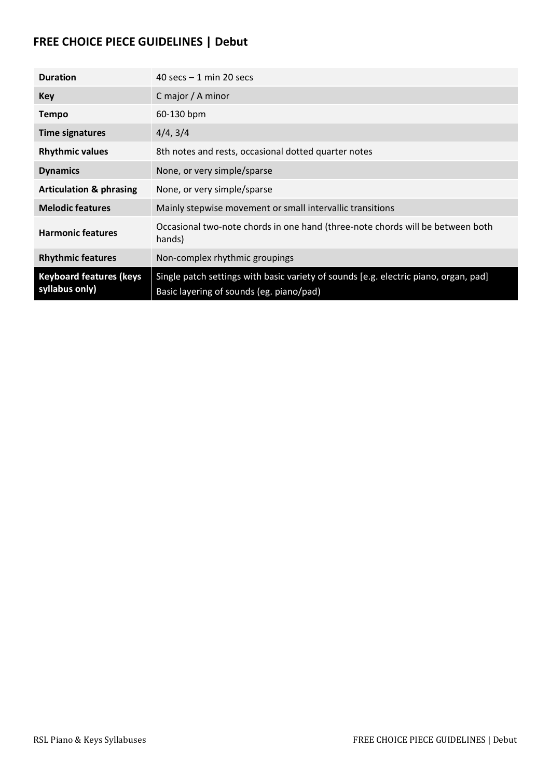## **FREE CHOICE PIECE GUIDELINES | Debut**

| <b>Duration</b>                                  | 40 secs $-1$ min 20 secs                                                                                                         |
|--------------------------------------------------|----------------------------------------------------------------------------------------------------------------------------------|
| <b>Key</b>                                       | C major / A minor                                                                                                                |
| <b>Tempo</b>                                     | 60-130 bpm                                                                                                                       |
| <b>Time signatures</b>                           | 4/4, 3/4                                                                                                                         |
| <b>Rhythmic values</b>                           | 8th notes and rests, occasional dotted quarter notes                                                                             |
| <b>Dynamics</b>                                  | None, or very simple/sparse                                                                                                      |
| <b>Articulation &amp; phrasing</b>               | None, or very simple/sparse                                                                                                      |
| <b>Melodic features</b>                          | Mainly stepwise movement or small intervallic transitions                                                                        |
| <b>Harmonic features</b>                         | Occasional two-note chords in one hand (three-note chords will be between both<br>hands)                                         |
| <b>Rhythmic features</b>                         | Non-complex rhythmic groupings                                                                                                   |
| <b>Keyboard features (keys</b><br>syllabus only) | Single patch settings with basic variety of sounds [e.g. electric piano, organ, pad]<br>Basic layering of sounds (eg. piano/pad) |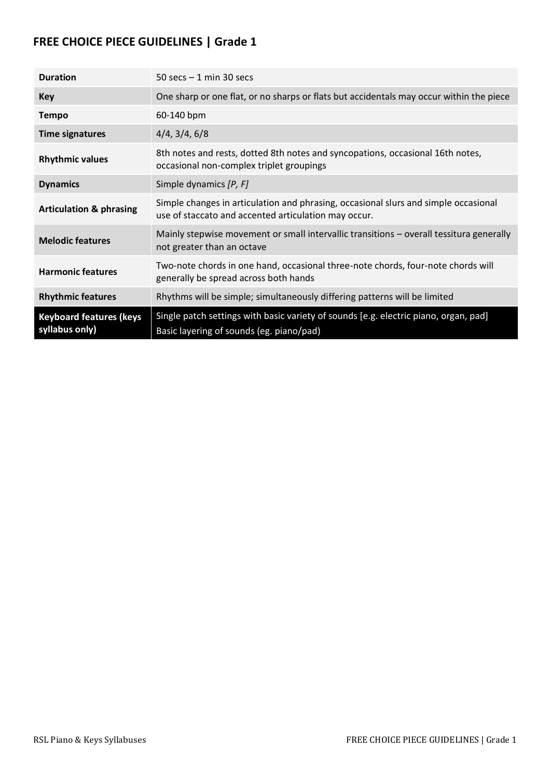| <b>Duration</b>                                  | 50 secs $-1$ min 30 secs                                                                                                                    |
|--------------------------------------------------|---------------------------------------------------------------------------------------------------------------------------------------------|
| <b>Key</b>                                       | One sharp or one flat, or no sharps or flats but accidentals may occur within the piece                                                     |
| <b>Tempo</b>                                     | 60-140 bpm                                                                                                                                  |
| <b>Time signatures</b>                           | 4/4, 3/4, 6/8                                                                                                                               |
| <b>Rhythmic values</b>                           | 8th notes and rests, dotted 8th notes and syncopations, occasional 16th notes,<br>occasional non-complex triplet groupings                  |
| <b>Dynamics</b>                                  | Simple dynamics [P, F]                                                                                                                      |
| <b>Articulation &amp; phrasing</b>               | Simple changes in articulation and phrasing, occasional slurs and simple occasional<br>use of staccato and accented articulation may occur. |
| <b>Melodic features</b>                          | Mainly stepwise movement or small intervallic transitions - overall tessitura generally<br>not greater than an octave                       |
| <b>Harmonic features</b>                         | Two-note chords in one hand, occasional three-note chords, four-note chords will<br>generally be spread across both hands                   |
| <b>Rhythmic features</b>                         | Rhythms will be simple; simultaneously differing patterns will be limited                                                                   |
| <b>Keyboard features (keys</b><br>syllabus only) | Single patch settings with basic variety of sounds [e.g. electric piano, organ, pad]<br>Basic layering of sounds (eg. piano/pad)            |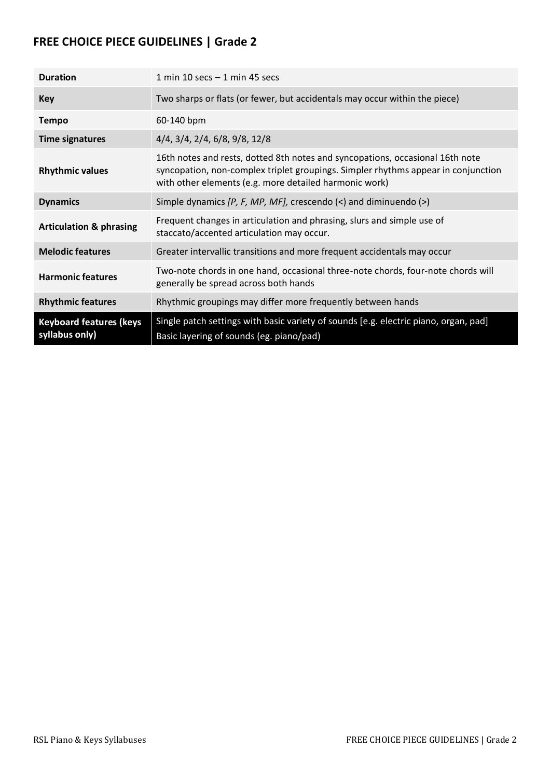| <b>Duration</b>                                  | 1 min 10 secs $-$ 1 min 45 secs                                                                                                                                                                                              |
|--------------------------------------------------|------------------------------------------------------------------------------------------------------------------------------------------------------------------------------------------------------------------------------|
| Key                                              | Two sharps or flats (or fewer, but accidentals may occur within the piece)                                                                                                                                                   |
| <b>Tempo</b>                                     | 60-140 bpm                                                                                                                                                                                                                   |
| <b>Time signatures</b>                           | $4/4$ , $3/4$ , $2/4$ , $6/8$ , $9/8$ , $12/8$                                                                                                                                                                               |
| <b>Rhythmic values</b>                           | 16th notes and rests, dotted 8th notes and syncopations, occasional 16th note<br>syncopation, non-complex triplet groupings. Simpler rhythms appear in conjunction<br>with other elements (e.g. more detailed harmonic work) |
| <b>Dynamics</b>                                  | Simple dynamics $[P, F, MP, MF]$ , crescendo $\langle$ and diminuendo $\langle$ >)                                                                                                                                           |
| <b>Articulation &amp; phrasing</b>               | Frequent changes in articulation and phrasing, slurs and simple use of<br>staccato/accented articulation may occur.                                                                                                          |
| <b>Melodic features</b>                          | Greater intervallic transitions and more frequent accidentals may occur                                                                                                                                                      |
| <b>Harmonic features</b>                         | Two-note chords in one hand, occasional three-note chords, four-note chords will<br>generally be spread across both hands                                                                                                    |
| <b>Rhythmic features</b>                         | Rhythmic groupings may differ more frequently between hands                                                                                                                                                                  |
| <b>Keyboard features (keys</b><br>syllabus only) | Single patch settings with basic variety of sounds [e.g. electric piano, organ, pad]<br>Basic layering of sounds (eg. piano/pad)                                                                                             |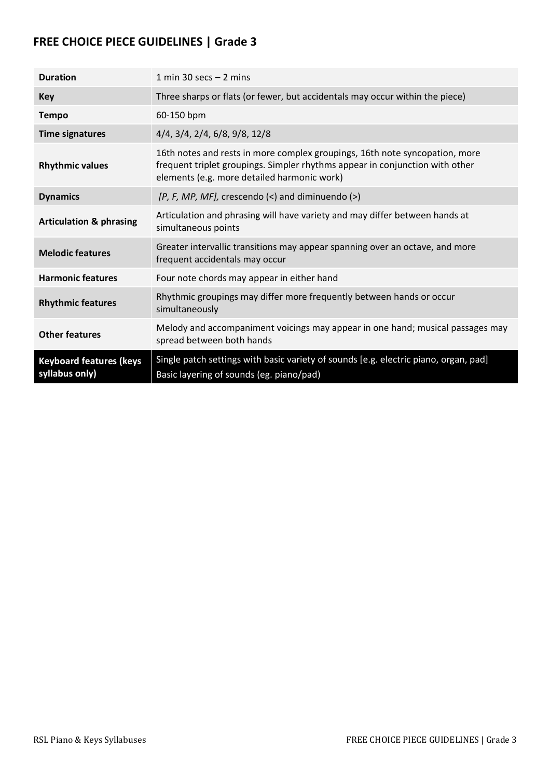| <b>Duration</b>                                  | 1 min 30 secs $-$ 2 mins                                                                                                                                                                                   |
|--------------------------------------------------|------------------------------------------------------------------------------------------------------------------------------------------------------------------------------------------------------------|
| Key                                              | Three sharps or flats (or fewer, but accidentals may occur within the piece)                                                                                                                               |
| <b>Tempo</b>                                     | 60-150 bpm                                                                                                                                                                                                 |
| <b>Time signatures</b>                           | 4/4, 3/4, 2/4, 6/8, 9/8, 12/8                                                                                                                                                                              |
| <b>Rhythmic values</b>                           | 16th notes and rests in more complex groupings, 16th note syncopation, more<br>frequent triplet groupings. Simpler rhythms appear in conjunction with other<br>elements (e.g. more detailed harmonic work) |
| <b>Dynamics</b>                                  | $[P, F, MP, MF],$ crescendo $\langle$ and diminuendo $\langle$ >)                                                                                                                                          |
| <b>Articulation &amp; phrasing</b>               | Articulation and phrasing will have variety and may differ between hands at<br>simultaneous points                                                                                                         |
| <b>Melodic features</b>                          | Greater intervallic transitions may appear spanning over an octave, and more<br>frequent accidentals may occur                                                                                             |
| <b>Harmonic features</b>                         | Four note chords may appear in either hand                                                                                                                                                                 |
| <b>Rhythmic features</b>                         | Rhythmic groupings may differ more frequently between hands or occur<br>simultaneously                                                                                                                     |
| <b>Other features</b>                            | Melody and accompaniment voicings may appear in one hand; musical passages may<br>spread between both hands                                                                                                |
| <b>Keyboard features (keys</b><br>syllabus only) | Single patch settings with basic variety of sounds [e.g. electric piano, organ, pad]<br>Basic layering of sounds (eg. piano/pad)                                                                           |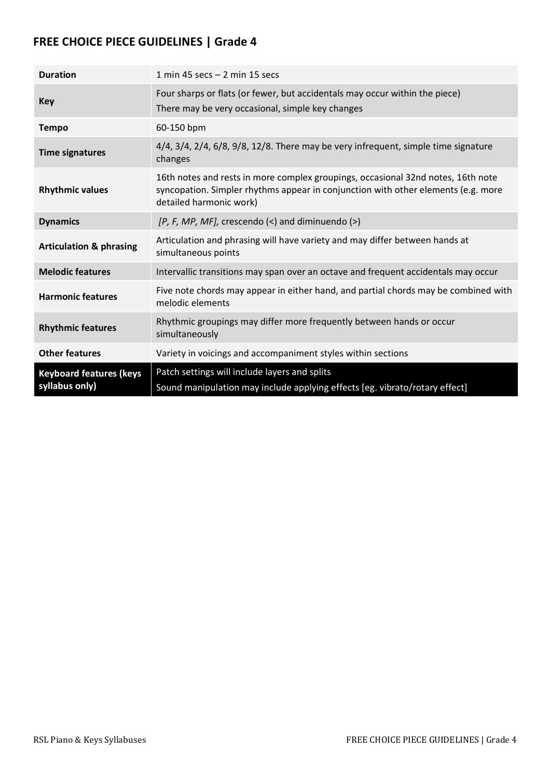| <b>Duration</b>                                  | 1 min 45 secs $-$ 2 min 15 secs                                                                                                                                                                  |
|--------------------------------------------------|--------------------------------------------------------------------------------------------------------------------------------------------------------------------------------------------------|
| <b>Key</b>                                       | Four sharps or flats (or fewer, but accidentals may occur within the piece)<br>There may be very occasional, simple key changes                                                                  |
| <b>Tempo</b>                                     | 60-150 bpm                                                                                                                                                                                       |
| <b>Time signatures</b>                           | $4/4$ , $3/4$ , $2/4$ , $6/8$ , $9/8$ , $12/8$ . There may be very infrequent, simple time signature<br>changes                                                                                  |
| <b>Rhythmic values</b>                           | 16th notes and rests in more complex groupings, occasional 32nd notes, 16th note<br>syncopation. Simpler rhythms appear in conjunction with other elements (e.g. more<br>detailed harmonic work) |
| <b>Dynamics</b>                                  | $[P, F, MP, MF],$ crescendo $(\le)$ and diminuendo $(\ge)$                                                                                                                                       |
| <b>Articulation &amp; phrasing</b>               | Articulation and phrasing will have variety and may differ between hands at<br>simultaneous points                                                                                               |
| <b>Melodic features</b>                          | Intervallic transitions may span over an octave and frequent accidentals may occur                                                                                                               |
| <b>Harmonic features</b>                         | Five note chords may appear in either hand, and partial chords may be combined with<br>melodic elements                                                                                          |
| <b>Rhythmic features</b>                         | Rhythmic groupings may differ more frequently between hands or occur<br>simultaneously                                                                                                           |
| <b>Other features</b>                            | Variety in voicings and accompaniment styles within sections                                                                                                                                     |
| <b>Keyboard features (keys</b><br>syllabus only) | Patch settings will include layers and splits<br>Sound manipulation may include applying effects [eg. vibrato/rotary effect]                                                                     |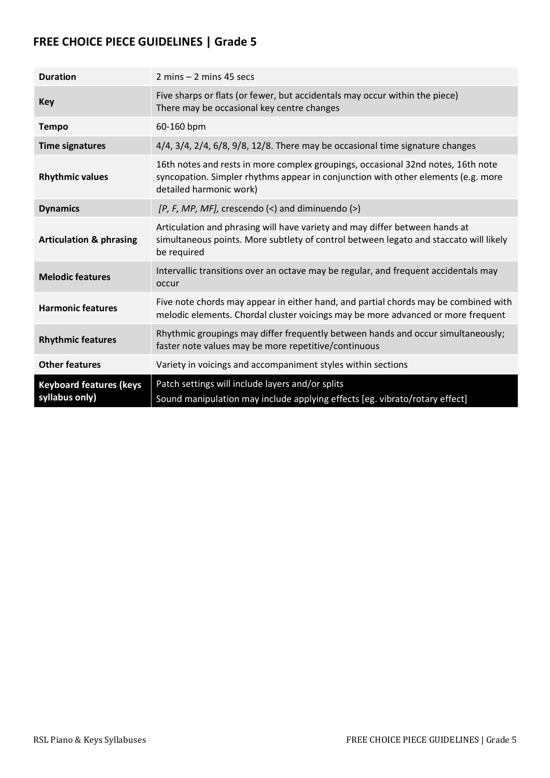| <b>Duration</b>                                  | $2 \text{ mins} - 2 \text{ mins}$ 45 secs                                                                                                                                                        |
|--------------------------------------------------|--------------------------------------------------------------------------------------------------------------------------------------------------------------------------------------------------|
| <b>Key</b>                                       | Five sharps or flats (or fewer, but accidentals may occur within the piece)<br>There may be occasional key centre changes                                                                        |
| <b>Tempo</b>                                     | 60-160 bpm                                                                                                                                                                                       |
| <b>Time signatures</b>                           | $4/4$ , $3/4$ , $2/4$ , $6/8$ , $9/8$ , $12/8$ . There may be occasional time signature changes                                                                                                  |
| <b>Rhythmic values</b>                           | 16th notes and rests in more complex groupings, occasional 32nd notes, 16th note<br>syncopation. Simpler rhythms appear in conjunction with other elements (e.g. more<br>detailed harmonic work) |
| <b>Dynamics</b>                                  | $[P, F, MP, MF],$ crescendo $\langle$ and diminuendo $\langle$ >)                                                                                                                                |
| <b>Articulation &amp; phrasing</b>               | Articulation and phrasing will have variety and may differ between hands at<br>simultaneous points. More subtlety of control between legato and staccato will likely<br>be required              |
| <b>Melodic features</b>                          | Intervallic transitions over an octave may be regular, and frequent accidentals may<br>occur                                                                                                     |
| <b>Harmonic features</b>                         | Five note chords may appear in either hand, and partial chords may be combined with<br>melodic elements. Chordal cluster voicings may be more advanced or more frequent                          |
| <b>Rhythmic features</b>                         | Rhythmic groupings may differ frequently between hands and occur simultaneously;<br>faster note values may be more repetitive/continuous                                                         |
| <b>Other features</b>                            | Variety in voicings and accompaniment styles within sections                                                                                                                                     |
| <b>Keyboard features (keys</b><br>syllabus only) | Patch settings will include layers and/or splits<br>Sound manipulation may include applying effects [eg. vibrato/rotary effect]                                                                  |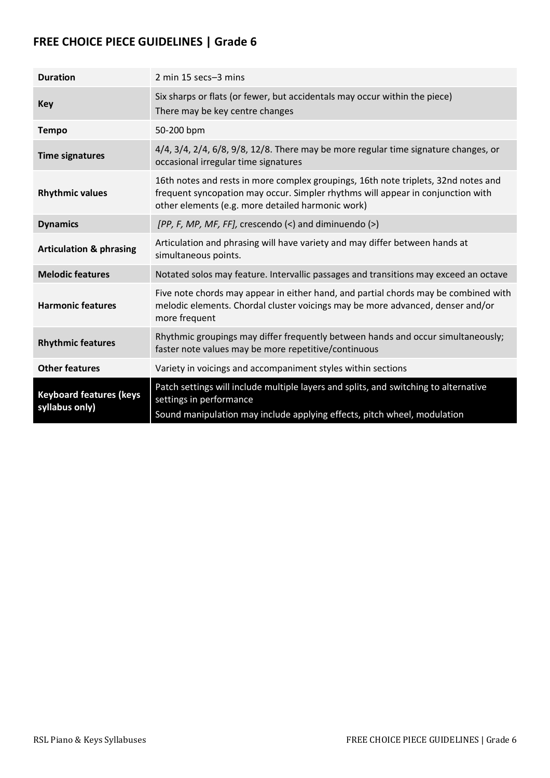| <b>Duration</b>                                  | 2 min 15 secs-3 mins                                                                                                                                                                                                       |
|--------------------------------------------------|----------------------------------------------------------------------------------------------------------------------------------------------------------------------------------------------------------------------------|
| <b>Key</b>                                       | Six sharps or flats (or fewer, but accidentals may occur within the piece)<br>There may be key centre changes                                                                                                              |
| <b>Tempo</b>                                     | 50-200 bpm                                                                                                                                                                                                                 |
| <b>Time signatures</b>                           | $4/4$ , $3/4$ , $2/4$ , $6/8$ , $9/8$ , $12/8$ . There may be more regular time signature changes, or<br>occasional irregular time signatures                                                                              |
| <b>Rhythmic values</b>                           | 16th notes and rests in more complex groupings, 16th note triplets, 32nd notes and<br>frequent syncopation may occur. Simpler rhythms will appear in conjunction with<br>other elements (e.g. more detailed harmonic work) |
| <b>Dynamics</b>                                  | [PP, F, MP, MF, FF], crescendo (<) and diminuendo (>)                                                                                                                                                                      |
| <b>Articulation &amp; phrasing</b>               | Articulation and phrasing will have variety and may differ between hands at<br>simultaneous points.                                                                                                                        |
| <b>Melodic features</b>                          | Notated solos may feature. Intervallic passages and transitions may exceed an octave                                                                                                                                       |
| <b>Harmonic features</b>                         | Five note chords may appear in either hand, and partial chords may be combined with<br>melodic elements. Chordal cluster voicings may be more advanced, denser and/or<br>more frequent                                     |
| <b>Rhythmic features</b>                         | Rhythmic groupings may differ frequently between hands and occur simultaneously;<br>faster note values may be more repetitive/continuous                                                                                   |
| <b>Other features</b>                            | Variety in voicings and accompaniment styles within sections                                                                                                                                                               |
| <b>Keyboard features (keys</b><br>syllabus only) | Patch settings will include multiple layers and splits, and switching to alternative<br>settings in performance<br>Sound manipulation may include applying effects, pitch wheel, modulation                                |
|                                                  |                                                                                                                                                                                                                            |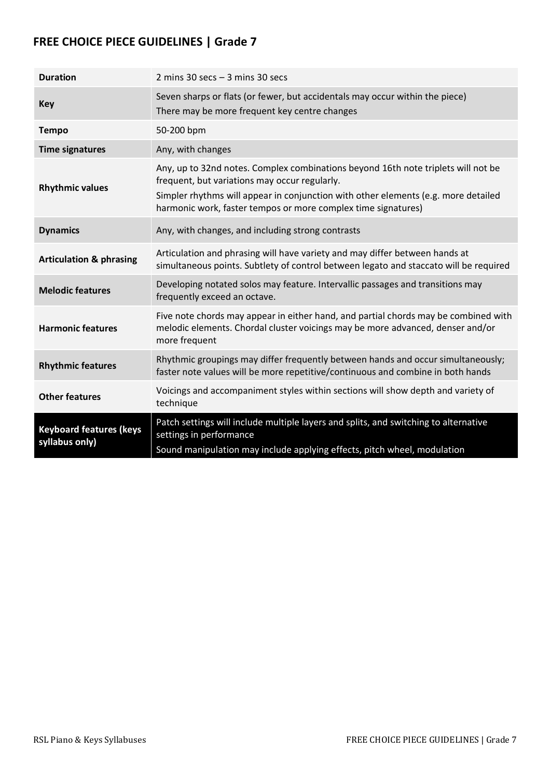| <b>Duration</b>                                  | 2 mins 30 secs $-$ 3 mins 30 secs                                                                                                                                                                                                                                                         |
|--------------------------------------------------|-------------------------------------------------------------------------------------------------------------------------------------------------------------------------------------------------------------------------------------------------------------------------------------------|
| <b>Key</b>                                       | Seven sharps or flats (or fewer, but accidentals may occur within the piece)<br>There may be more frequent key centre changes                                                                                                                                                             |
| <b>Tempo</b>                                     | 50-200 bpm                                                                                                                                                                                                                                                                                |
| <b>Time signatures</b>                           | Any, with changes                                                                                                                                                                                                                                                                         |
| <b>Rhythmic values</b>                           | Any, up to 32nd notes. Complex combinations beyond 16th note triplets will not be<br>frequent, but variations may occur regularly.<br>Simpler rhythms will appear in conjunction with other elements (e.g. more detailed<br>harmonic work, faster tempos or more complex time signatures) |
| <b>Dynamics</b>                                  | Any, with changes, and including strong contrasts                                                                                                                                                                                                                                         |
| <b>Articulation &amp; phrasing</b>               | Articulation and phrasing will have variety and may differ between hands at<br>simultaneous points. Subtlety of control between legato and staccato will be required                                                                                                                      |
| <b>Melodic features</b>                          | Developing notated solos may feature. Intervallic passages and transitions may<br>frequently exceed an octave.                                                                                                                                                                            |
| <b>Harmonic features</b>                         | Five note chords may appear in either hand, and partial chords may be combined with<br>melodic elements. Chordal cluster voicings may be more advanced, denser and/or<br>more frequent                                                                                                    |
| <b>Rhythmic features</b>                         | Rhythmic groupings may differ frequently between hands and occur simultaneously;<br>faster note values will be more repetitive/continuous and combine in both hands                                                                                                                       |
| <b>Other features</b>                            | Voicings and accompaniment styles within sections will show depth and variety of<br>technique                                                                                                                                                                                             |
| <b>Keyboard features (keys</b><br>syllabus only) | Patch settings will include multiple layers and splits, and switching to alternative<br>settings in performance<br>Sound manipulation may include applying effects, pitch wheel, modulation                                                                                               |